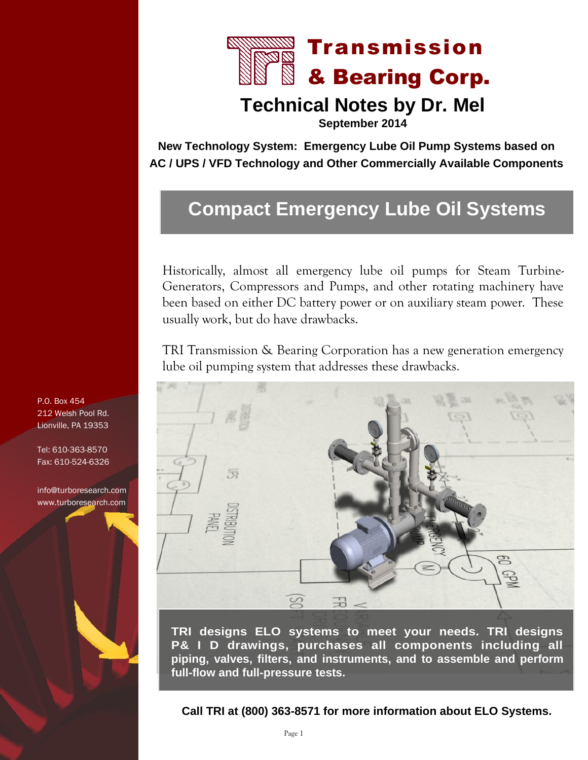

## **Technical Notes by Dr. Mel**

**September 2014**

**New Technology System: Emergency Lube Oil Pump Systems based on AC / UPS / VFD Technology and Other Commercially Available Components**

# **Compact Emergency Lube Oil Systems**

Historically, almost all emergency lube oil pumps for Steam Turbine-Generators, Compressors and Pumps, and other rotating machinery have been based on either DC battery power or on auxiliary steam power. These usually work, but do have drawbacks.

TRI Transmission & Bearing Corporation has a new generation emergency lube oil pumping system that addresses these drawbacks.



**TRI designs ELO systems to meet your needs. TRI designs P& I D drawings, purchases all components including all piping, valves, filters, and instruments, and to assemble and perform full-flow and full-pressure tests.**

**Call TRI at (800) 363-8571 for more information about ELO Systems.**

P.O. Box 454 212 Welsh Pool Rd. Lionville, PA 19353

Tel: 610-363-8570 Fax: 610-524-6326

[info@turboresearch.com](http://www.turboresearch.com/index201409.asp) www.turboresearch.com